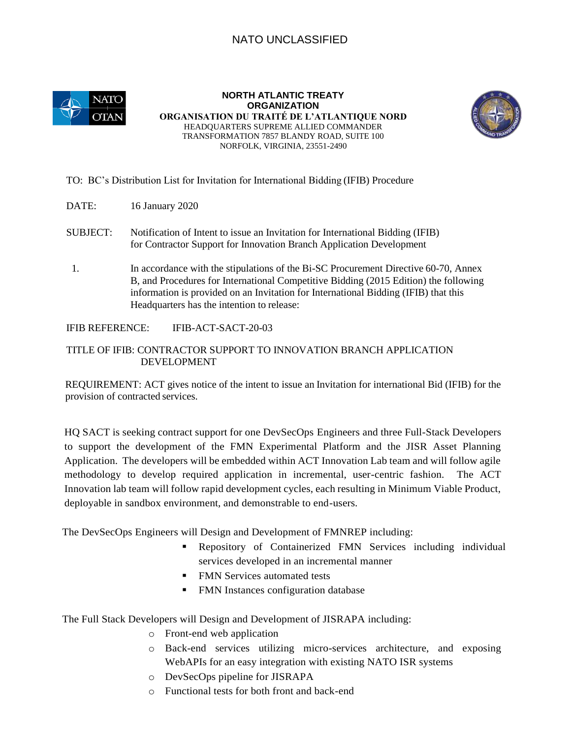## NATO UNCLASSIFIED



**NORTH ATLANTIC TREATY ORGANIZATION ORGANISATION DU TRAITÉ DE L'ATLANTIQUE NORD**  HEADQUARTERS SUPREME ALLIED COMMANDER TRANSFORMATION 7857 BLANDY ROAD, SUITE 100 NORFOLK, VIRGINIA, 23551-2490



## TO: BC's Distribution List for Invitation for International Bidding (IFIB) Procedure

- DATE: 16 January 2020
- SUBJECT: Notification of Intent to issue an Invitation for International Bidding (IFIB) for Contractor Support for Innovation Branch Application Development
- 1. In accordance with the stipulations of the Bi-SC Procurement Directive 60-70, Annex B, and Procedures for International Competitive Bidding (2015 Edition) the following information is provided on an Invitation for International Bidding (IFIB) that this Headquarters has the intention to release:

IFIB REFERENCE: IFIB-ACT-SACT-20-03

## TITLE OF IFIB: CONTRACTOR SUPPORT TO INNOVATION BRANCH APPLICATION DEVELOPMENT

REQUIREMENT: ACT gives notice of the intent to issue an Invitation for international Bid (IFIB) for the provision of contracted services.

HQ SACT is seeking contract support for one DevSecOps Engineers and three Full-Stack Developers to support the development of the FMN Experimental Platform and the JISR Asset Planning Application. The developers will be embedded within ACT Innovation Lab team and will follow agile methodology to develop required application in incremental, user-centric fashion. The ACT Innovation lab team will follow rapid development cycles, each resulting in Minimum Viable Product, deployable in sandbox environment, and demonstrable to end-users.

The DevSecOps Engineers will Design and Development of FMNREP including:

- Repository of Containerized FMN Services including individual services developed in an incremental manner
- **FMN Services automated tests**
- FMN Instances configuration database

The Full Stack Developers will Design and Development of JISRAPA including:

- o Front-end web application
- o Back-end services utilizing micro-services architecture, and exposing WebAPIs for an easy integration with existing NATO ISR systems
- o DevSecOps pipeline for JISRAPA
- o Functional tests for both front and back-end